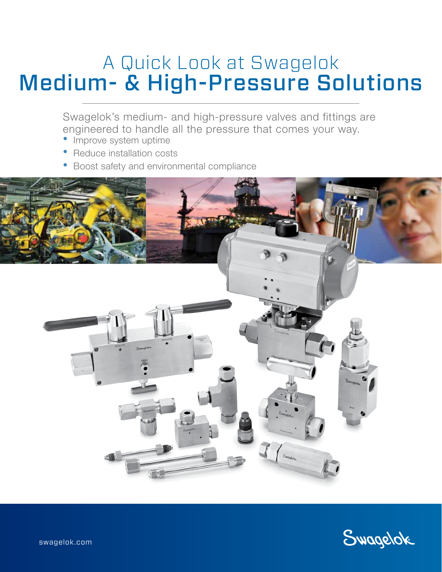# A Quick Look at Swagelok Medium- & High-Pressure Solutions

Swagelok's medium- and high-pressure valves and fittings are engineered to handle all the pressure that comes your way.

- Improve system uptime
- Reduce installation costs
- Boost safety and environmental compliance



Swagelok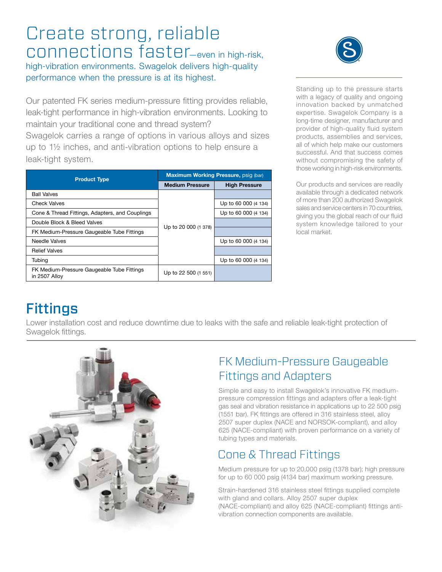# Create strong, reliable connections faster—even in high-risk,

high-vibration environments. Swagelok delivers high-quality performance when the pressure is at its highest.

Our patented FK series medium-pressure fitting provides reliable, leak-tight performance in high-vibration environments. Looking to maintain your traditional cone and thread system?

Swagelok carries a range of options in various alloys and sizes up to 1½ inches, and anti-vibration options to help ensure a leak-tight system.

| <b>Product Type</b>                                         | Maximum Working Pressure, psig (bar) |                      |
|-------------------------------------------------------------|--------------------------------------|----------------------|
|                                                             | <b>Medium Pressure</b>               | <b>High Pressure</b> |
| <b>Ball Valves</b>                                          | Up to 20 000 (1 378)                 |                      |
| <b>Check Valves</b>                                         |                                      | Up to 60 000 (4 134) |
| Cone & Thread Fittings, Adapters, and Couplings             |                                      | Up to 60 000 (4 134) |
| Double Block & Bleed Valves                                 |                                      |                      |
| FK Medium-Pressure Gaugeable Tube Fittings                  |                                      |                      |
| Needle Valves                                               |                                      | Up to 60 000 (4 134) |
| <b>Relief Valves</b>                                        |                                      |                      |
| Tubing                                                      |                                      | Up to 60 000 (4 134) |
| FK Medium-Pressure Gaugeable Tube Fittings<br>in 2507 Alloy | Up to 22 500 (1 551)                 |                      |



Standing up to the pressure starts with a legacy of quality and ongoing innovation backed by unmatched expertise. Swagelok Company is a long-time designer, manufacturer and provider of high-quality fluid system products, assemblies and services, all of which help make our customers successful. And that success comes without compromising the safety of those working in high-risk environments.

Our products and services are readily available through a dedicated network of more than 200 authorized Swagelok sales and service centers in 70 countries, giving you the global reach of our fluid system knowledge tailored to your local market.

# Fittings

Lower installation cost and reduce downtime due to leaks with the safe and reliable leak-tight protection of Swagelok fittings.



### FK Medium-Pressure Gaugeable Fittings and Adapters

Simple and easy to install Swagelok's innovative FK mediumpressure compression fittings and adapters offer a leak-tight gas seal and vibration resistance in applications up to 22 500 psig (1551 bar). FK fittings are offered in 316 stainless steel, alloy 2507 super duplex (NACE and NORSOK-compliant), and alloy 625 (NACE-compliant) with proven performance on a variety of tubing types and materials.

### Cone & Thread Fittings

Medium pressure for up to 20,000 psig (1378 bar); high pressure for up to 60 000 psig (4134 bar) maximum working pressure.

Strain-hardened 316 stainless steel fittings supplied complete with gland and collars. Alloy 2507 super duplex (NACE-compliant) and alloy 625 (NACE-compliant) fittings antivibration connection components are available.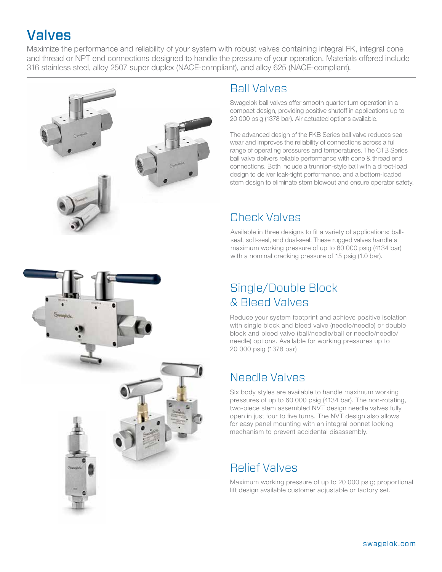# Valves

Maximize the performance and reliability of your system with robust valves containing integral FK, integral cone and thread or NPT end connections designed to handle the pressure of your operation. Materials offered include 316 stainless steel, alloy 2507 super duplex (NACE-compliant), and alloy 625 (NACE-compliant).



#### Ball Valves

Swagelok ball valves offer smooth quarter-turn operation in a compact design, providing positive shutoff in applications up to 20 000 psig (1378 bar). Air actuated options available.

The advanced design of the FKB Series ball valve reduces seal wear and improves the reliability of connections across a full range of operating pressures and temperatures. The CTB Series ball valve delivers reliable performance with cone & thread end connections. Both include a trunnion-style ball with a direct-load design to deliver leak-tight performance, and a bottom-loaded stem design to eliminate stem blowout and ensure operator safety.

#### Check Valves

Available in three designs to fit a variety of applications: ballseal, soft-seal, and dual-seal. These rugged valves handle a maximum working pressure of up to 60 000 psig (4134 bar) with a nominal cracking pressure of 15 psig (1.0 bar).

### Single/Double Block & Bleed Valves

Reduce your system footprint and achieve positive isolation with single block and bleed valve (needle/needle) or double block and bleed valve (ball/needle/ball or needle/needle/ needle) options. Available for working pressures up to 20 000 psig (1378 bar)

### Needle Valves

Six body styles are available to handle maximum working pressures of up to 60 000 psig (4134 bar). The non-rotating, two-piece stem assembled NVT design needle valves fully open in just four to five turns. The NVT design also allows for easy panel mounting with an integral bonnet locking mechanism to prevent accidental disassembly.

### Relief Valves

Maximum working pressure of up to 20 000 psig; proportional lift design available customer adjustable or factory set.